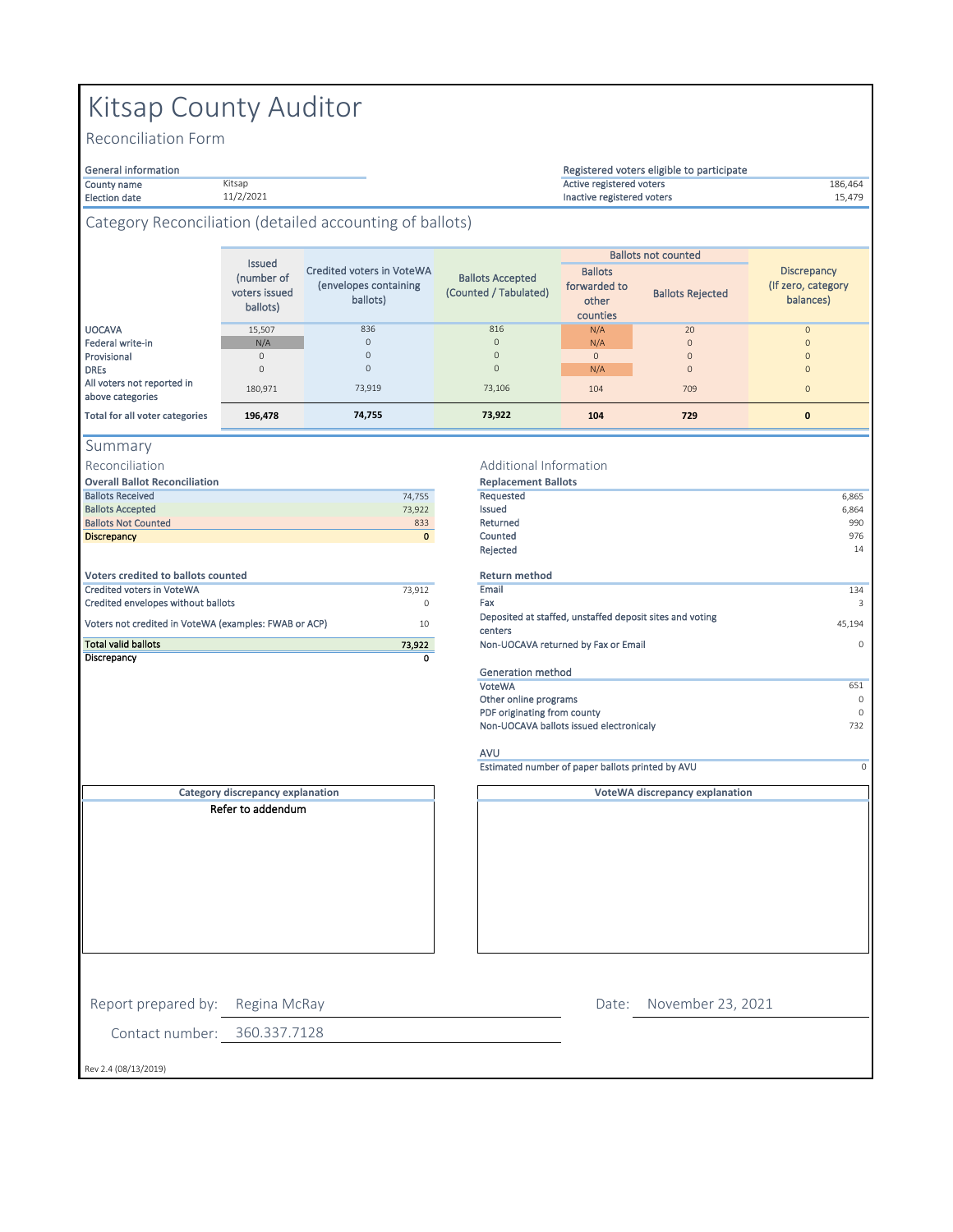# Kitsap County Auditor

Kitsap 11/2/2021

Reconciliation Form

### General information

#### County name 186,464 Active registered voters Election date **11/2/2021** 15,479 and the control of the control of the control of the control of the control of the control of the control of the control of the control of the control of the control of the control of the c Registered voters eligible to participate

### Category Reconciliation (detailed accounting of ballots)

|                                                | Issued<br>(number of<br>voters issued<br>ballots) | Credited voters in VoteWA<br>(envelopes containing<br>ballots) | <b>Ballots Accepted</b><br>(Counted / Tabulated) | <b>Ballots</b><br>forwarded to<br>other<br>counties | <b>Ballots not counted</b><br><b>Ballots Rejected</b> | <b>Discrepancy</b><br>(If zero, category)<br>balances) |
|------------------------------------------------|---------------------------------------------------|----------------------------------------------------------------|--------------------------------------------------|-----------------------------------------------------|-------------------------------------------------------|--------------------------------------------------------|
| <b>UOCAVA</b>                                  | 15,507                                            | 836                                                            | 816                                              | N/A                                                 | 20                                                    |                                                        |
| Federal write-in                               | N/A                                               | $\mathbf{0}$                                                   | $\mathbf{0}$                                     | N/A                                                 | $\mathbf{0}$                                          |                                                        |
| Provisional                                    |                                                   | $\mathbf{0}$                                                   | $\Omega$                                         | $\Omega$                                            | $\mathbf{0}$                                          |                                                        |
| <b>DREs</b>                                    |                                                   | $\mathbf{0}$                                                   | $\mathbf{0}$                                     | N/A                                                 | $\mathbf{0}$                                          |                                                        |
| All voters not reported in<br>above categories | 180,971                                           | 73,919                                                         | 73,106                                           | 104                                                 | 709                                                   | $\Omega$                                               |
| <b>Total for all voter categories</b>          | 196,478                                           | 74,755                                                         | 73,922                                           | 104                                                 | 729                                                   | 0                                                      |

|  | ummar |  |  |  |
|--|-------|--|--|--|
|--|-------|--|--|--|

Reconciliation

|  | <b>Overall Ballot Reconciliation</b> |
|--|--------------------------------------|
|  |                                      |

| <b>Ballots Received</b>            | 74.755      | Requested |
|------------------------------------|-------------|-----------|
| <b>Ballots Accepted</b>            | 73,922      | Issued    |
| <b>Ballots Not Counted</b>         | 833         | Returned  |
| <b>Discrepancy</b>                 | $\mathbf 0$ | Counted   |
|                                    |             | Rejected  |
| Voters credited to ballots counted |             | Return m  |
| <b>Credited voters in VoteWA</b>   | 73.912      | Email     |
| Credited apualanas without ballate | $\sim$      | Env       |

| Discrepancy                                           |        |
|-------------------------------------------------------|--------|
| <b>Total valid ballots</b>                            | 73.922 |
| Voters not credited in VoteWA (examples: FWAB or ACP) | 10     |
| Credited envelopes without ballots                    | O      |

### **Replacement Ballots** Additional Information

| overan panoe neconcinación                            |              | <b>INCRIGACITIONS</b>                                               |          |
|-------------------------------------------------------|--------------|---------------------------------------------------------------------|----------|
| <b>Ballots Received</b>                               | 74,755       | Requested                                                           | 6,865    |
| <b>Ballots Accepted</b>                               | 73,922       | <b>Issued</b>                                                       | 6,864    |
| <b>Ballots Not Counted</b>                            | 833          | Returned                                                            | 990      |
| <b>Discrepancy</b>                                    | $\mathbf{0}$ | Counted                                                             | 976      |
|                                                       |              | Rejected                                                            | 14       |
| <b>Voters credited to ballots counted</b>             |              | <b>Return method</b>                                                |          |
| Credited voters in VoteWA                             | 73,912       | Email                                                               | 134      |
| Credited envelopes without ballots                    | $\circ$      | Fax                                                                 | 3        |
| Voters not credited in VoteWA (examples: FWAB or ACP) | 10           | Deposited at staffed, unstaffed deposit sites and voting<br>centers | 45,194   |
| <b>Total valid ballots</b>                            | 73,922       | Non-UOCAVA returned by Fax or Email                                 | $\Omega$ |
| Discrepancy                                           | 0            |                                                                     |          |
|                                                       |              | Generation method                                                   |          |
|                                                       |              | VoteWA                                                              | 651      |
|                                                       |              | Other online programs                                               | $\Omega$ |
|                                                       |              | PDF originating from county                                         | $\Omega$ |
|                                                       |              | Non-UOCAVA ballots issued electronicaly                             | 732      |

**VoteWA discrepancy explanation**

## AVU

Estimated number of paper ballots printed by AVU 0

**Category discrepancy explanation** Refer to addendum

Date: November 23, 2021

Report prepared by: Regina McRay

Contact number: 360.337.7128

Rev 2.4 (08/13/2019)